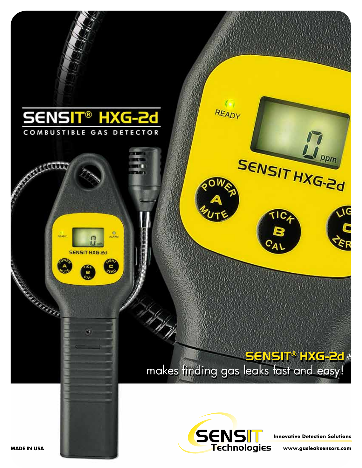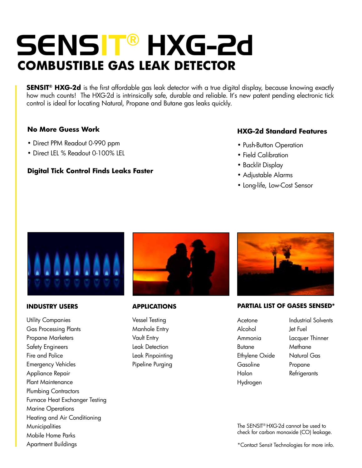# SENSIT® HXG-2d **COMBUSTIBLE Gas leak DETECTOR**

**SENSIT® HXG-2d** is the first affordable gas leak detector with a true digital display, because knowing exactly how much counts! The HXG-2d is intrinsically safe, durable and reliable. It's new patent pending electronic tick control is ideal for locating Natural, Propane and Butane gas leaks quickly.

# **No More Guess Work**

- Direct PPM Readout 0-990 ppm
- Direct LEL % Readout 0-100% LEL

# **Digital Tick Control Finds Leaks Faster**

# **HXG-2d Standard Features**

- Push-Button Operation
- Field Calibration
- Backlit Display
- Adjustable Alarms
- Long-life, Low-Cost Sensor



#### **INDUSTRY USERS**

Utility Companies Gas Processing Plants Propane Marketers Safety Engineers Fire and Police Emergency Vehicles Appliance Repair Plant Maintenance Plumbing Contractors Furnace Heat Exchanger Testing Marine Operations Heating and Air Conditioning **Municipalities** Mobile Home Parks Apartment Buildings



### **APPLICATIONS**

Vessel Testing Manhole Entry Vault Entry Leak Detection Leak Pinpointing Pipeline Purging



### **PARTIAL LIST OF GASES SENSED\***

- Acetone Alcohol Ammonia Butane Ethylene Oxide Gasoline Halon Hydrogen
- Industrial Solvents Jet Fuel Lacquer Thinner Methane Natural Gas Propane Refrigerants

The SENSIT® HXG-2d cannot be used to check for carbon monoxide (CO) leakage.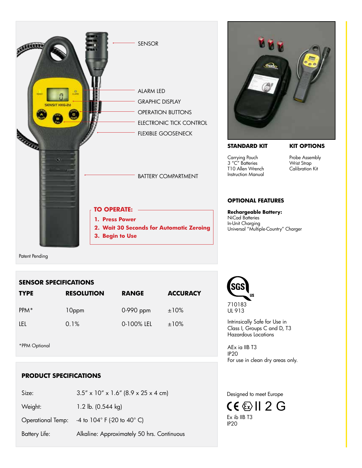



#### **STANDARD KIT**

# **KIT OPTIONS**

Carrying Pouch 3 "C" Batteries T10 Allen Wrench Instruction Manual

Probe Assembly Wrist Strap Calibration Kit

## **OPTIONAL FEATURES**

**Rechargeable Battery:** NiCad Batteries In-Unit Charging Universal "Multiple-Country" Charger

Patent Pending

### **SENSOR SPECIFICATIONS**

| <b>TYPE</b>      | <b>RESOLUTION</b> | <b>RANGE</b> | <b>ACCURACY</b> |
|------------------|-------------------|--------------|-----------------|
| PPM <sup>*</sup> | 10ppm             | 0-990 ppm    | ±10%            |
| TEL.             | 0.1%              | 0-100% LEL   | ±10%            |

\*PPM Optional

## **PRODUCT SPECIFICATIONS**

| Size:             | $3.5'' \times 10'' \times 1.6''$ (8.9 x 25 x 4 cm) |
|-------------------|----------------------------------------------------|
| Weight:           | 1.2 lb. (0.544 kg)                                 |
| Operational Temp: | -4 to $104^{\circ}$ F (-20 to 40 $^{\circ}$ C)     |
| Battery Life:     | Alkaline: Approximately 50 hrs. Continuous         |



Intrinsically Safe for Use in Class I, Groups C and D, T3 Hazardous Locations

AEx ia IIB T3 IP20 For use in clean dry areas only.

# Designed to meet Europe

Ex ib IIB T3 IP20 II 2 G